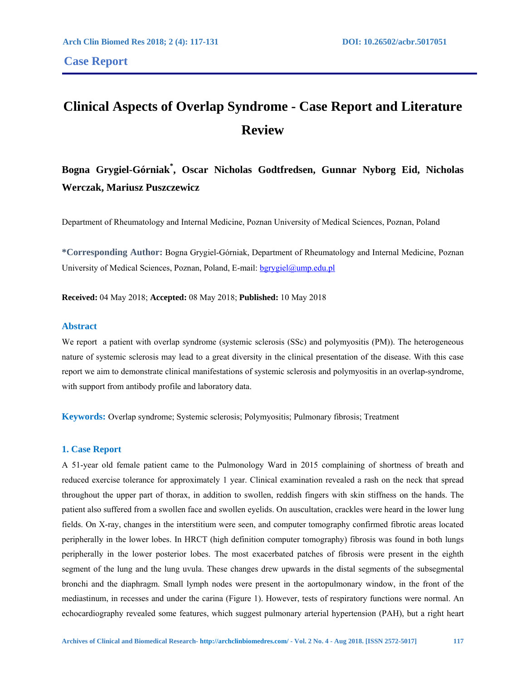# **Clinical Aspects of Overlap Syndrome - Case Report and Literature Review**

# **Bogna Grygiel-Górniak\* , Oscar Nicholas Godtfredsen, Gunnar Nyborg Eid, Nicholas Werczak, Mariusz Puszczewicz**

Department of Rheumatology and Internal Medicine, Poznan University of Medical Sciences, Poznan, Poland

**\*Corresponding Author:** Bogna Grygiel-Górniak, Department of Rheumatology and Internal Medicine, Poznan University of Medical Sciences, Poznan, Poland, E-mail: bgrygiel@ump.edu.pl

**Received:** 04 May 2018; **Accepted:** 08 May 2018; **Published:** 10 May 2018

## **Abstract**

We report a patient with overlap syndrome (systemic sclerosis (SSc) and polymyositis (PM)). The heterogeneous nature of systemic sclerosis may lead to a great diversity in the clinical presentation of the disease. With this case report we aim to demonstrate clinical manifestations of systemic sclerosis and polymyositis in an overlap-syndrome, with support from antibody profile and laboratory data.

**Keywords:** Overlap syndrome; Systemic sclerosis; Polymyositis; Pulmonary fibrosis; Treatment

# **1. Case Report**

A 51-year old female patient came to the Pulmonology Ward in 2015 complaining of shortness of breath and reduced exercise tolerance for approximately 1 year. Clinical examination revealed a rash on the neck that spread throughout the upper part of thorax, in addition to swollen, reddish fingers with skin stiffness on the hands. The patient also suffered from a swollen face and swollen eyelids. On auscultation, crackles were heard in the lower lung fields. On X-ray, changes in the interstitium were seen, and computer tomography confirmed fibrotic areas located peripherally in the lower lobes. In HRCT (high definition computer tomography) fibrosis was found in both lungs peripherally in the lower posterior lobes. The most exacerbated patches of fibrosis were present in the eighth segment of the lung and the lung uvula. These changes drew upwards in the distal segments of the subsegmental bronchi and the diaphragm. Small lymph nodes were present in the aortopulmonary window, in the front of the mediastinum, in recesses and under the carina (Figure 1). However, tests of respiratory functions were normal. An echocardiography revealed some features, which suggest pulmonary arterial hypertension (PAH), but a right heart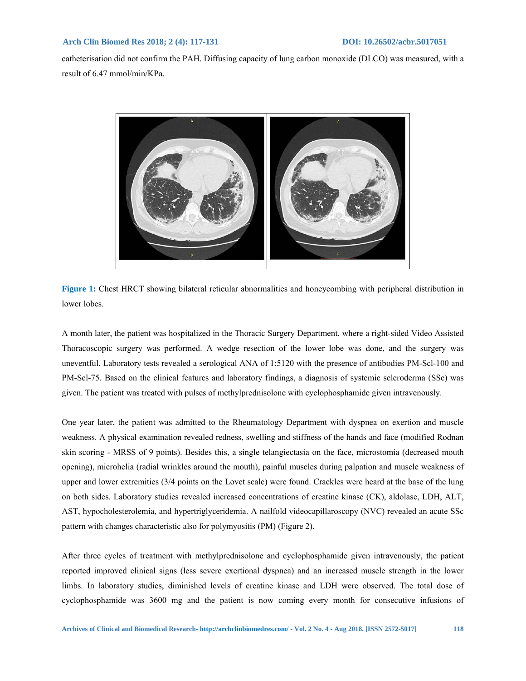catheterisation did not confirm the PAH. Diffusing capacity of lung carbon monoxide (DLCO) was measured, with a result of 6.47 mmol/min/KPa.



**Figure 1:** Chest HRCT showing bilateral reticular abnormalities and honeycombing with peripheral distribution in lower lobes.

A month later, the patient was hospitalized in the Thoracic Surgery Department, where a right-sided Video Assisted Thoracoscopic surgery was performed. A wedge resection of the lower lobe was done, and the surgery was uneventful. Laboratory tests revealed a serological ANA of 1:5120 with the presence of antibodies PM-Scl-100 and PM-Scl-75. Based on the clinical features and laboratory findings, a diagnosis of systemic scleroderma (SSc) was given. The patient was treated with pulses of methylprednisolone with cyclophosphamide given intravenously.

One year later, the patient was admitted to the Rheumatology Department with dyspnea on exertion and muscle weakness. A physical examination revealed redness, swelling and stiffness of the hands and face (modified Rodnan skin scoring - MRSS of 9 points). Besides this, a single telangiectasia on the face, microstomia (decreased mouth opening), microhelia (radial wrinkles around the mouth), painful muscles during palpation and muscle weakness of upper and lower extremities (3/4 points on the Lovet scale) were found. Crackles were heard at the base of the lung on both sides. Laboratory studies revealed increased concentrations of creatine kinase (CK), aldolase, LDH, ALT, AST, hypocholesterolemia, and hypertriglyceridemia. A nailfold videocapillaroscopy (NVC) revealed an acute SSc pattern with changes characteristic also for polymyositis (PM) (Figure 2).

After three cycles of treatment with methylprednisolone and cyclophosphamide given intravenously, the patient reported improved clinical signs (less severe exertional dyspnea) and an increased muscle strength in the lower limbs. In laboratory studies, diminished levels of creatine kinase and LDH were observed. The total dose of cyclophosphamide was 3600 mg and the patient is now coming every month for consecutive infusions of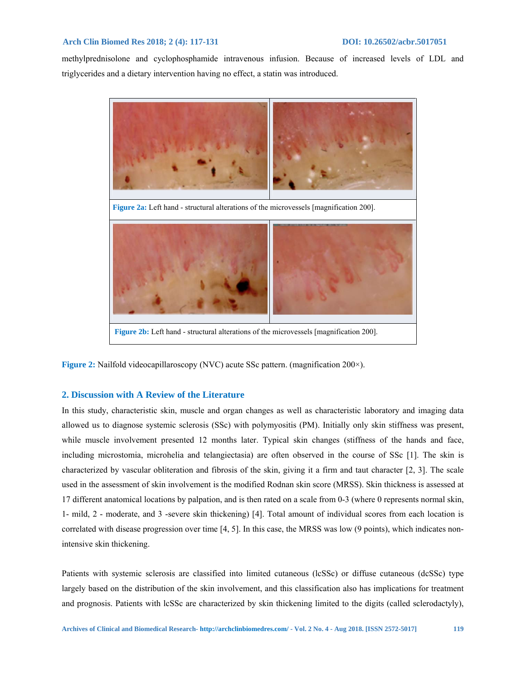methylprednisolone and cyclophosphamide intravenous infusion. Because of increased levels of LDL and triglycerides and a dietary intervention having no effect, a statin was introduced.



**Figure 2:** Nailfold videocapillaroscopy (NVC) acute SSc pattern. (magnification 200×).

### **2. Discussion with A Review of the Literature**

In this study, characteristic skin, muscle and organ changes as well as characteristic laboratory and imaging data allowed us to diagnose systemic sclerosis (SSc) with polymyositis (PM). Initially only skin stiffness was present, while muscle involvement presented 12 months later. Typical skin changes (stiffness of the hands and face, including microstomia, microhelia and telangiectasia) are often observed in the course of SSc [1]. The skin is characterized by vascular obliteration and fibrosis of the skin, giving it a firm and taut character [2, 3]. The scale used in the assessment of skin involvement is the modified Rodnan skin score (MRSS). Skin thickness is assessed at 17 different anatomical locations by palpation, and is then rated on a scale from 0-3 (where 0 represents normal skin, 1- mild, 2 - moderate, and 3 -severe skin thickening) [4]. Total amount of individual scores from each location is correlated with disease progression over time [4, 5]. In this case, the MRSS was low (9 points), which indicates nonintensive skin thickening.

Patients with systemic sclerosis are classified into limited cutaneous (lcSSc) or diffuse cutaneous (dcSSc) type largely based on the distribution of the skin involvement, and this classification also has implications for treatment and prognosis. Patients with lcSSc are characterized by skin thickening limited to the digits (called sclerodactyly),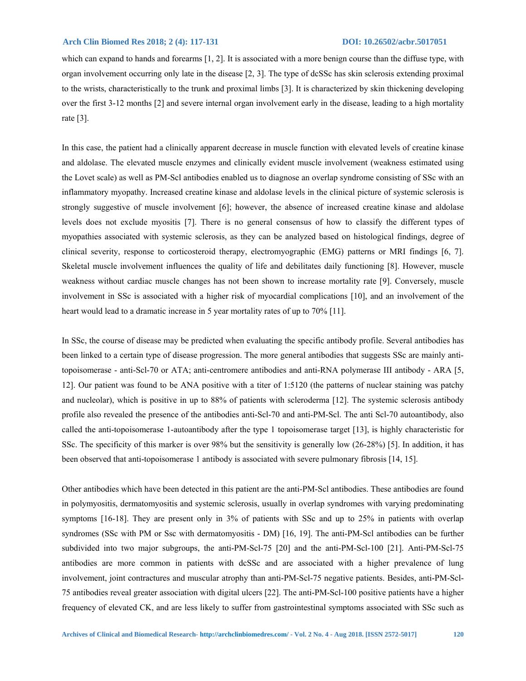which can expand to hands and forearms [1, 2]. It is associated with a more benign course than the diffuse type, with organ involvement occurring only late in the disease [2, 3]. The type of dcSSc has skin sclerosis extending proximal to the wrists, characteristically to the trunk and proximal limbs [3]. It is characterized by skin thickening developing over the first 3-12 months [2] and severe internal organ involvement early in the disease, leading to a high mortality rate [3].

In this case, the patient had a clinically apparent decrease in muscle function with elevated levels of creatine kinase and aldolase. The elevated muscle enzymes and clinically evident muscle involvement (weakness estimated using the Lovet scale) as well as PM-Scl antibodies enabled us to diagnose an overlap syndrome consisting of SSc with an inflammatory myopathy. Increased creatine kinase and aldolase levels in the clinical picture of systemic sclerosis is strongly suggestive of muscle involvement [6]; however, the absence of increased creatine kinase and aldolase levels does not exclude myositis [7]. There is no general consensus of how to classify the different types of myopathies associated with systemic sclerosis, as they can be analyzed based on histological findings, degree of clinical severity, response to corticosteroid therapy, electromyographic (EMG) patterns or MRI findings [6, 7]. Skeletal muscle involvement influences the quality of life and debilitates daily functioning [8]. However, muscle weakness without cardiac muscle changes has not been shown to increase mortality rate [9]. Conversely, muscle involvement in SSc is associated with a higher risk of myocardial complications [10], and an involvement of the heart would lead to a dramatic increase in 5 year mortality rates of up to 70% [11].

In SSc, the course of disease may be predicted when evaluating the specific antibody profile. Several antibodies has been linked to a certain type of disease progression. The more general antibodies that suggests SSc are mainly antitopoisomerase - anti-Scl-70 or ATA; anti-centromere antibodies and anti-RNA polymerase III antibody - ARA [5, 12]. Our patient was found to be ANA positive with a titer of 1:5120 (the patterns of nuclear staining was patchy and nucleolar), which is positive in up to 88% of patients with scleroderma [12]. The systemic sclerosis antibody profile also revealed the presence of the antibodies anti-Scl-70 and anti-PM-Scl. The anti Scl-70 autoantibody, also called the anti-topoisomerase 1-autoantibody after the type 1 topoisomerase target [13], is highly characteristic for SSc. The specificity of this marker is over 98% but the sensitivity is generally low (26-28%) [5]. In addition, it has been observed that anti-topoisomerase 1 antibody is associated with severe pulmonary fibrosis [14, 15].

Other antibodies which have been detected in this patient are the anti-PM-Scl antibodies. These antibodies are found in polymyositis, dermatomyositis and systemic sclerosis, usually in overlap syndromes with varying predominating symptoms [16-18]. They are present only in 3% of patients with SSc and up to 25% in patients with overlap syndromes (SSc with PM or Ssc with dermatomyositis - DM) [16, 19]. The anti-PM-Scl antibodies can be further subdivided into two major subgroups, the anti-PM-Scl-75 [20] and the anti-PM-Scl-100 [21]. Anti-PM-Scl-75 antibodies are more common in patients with dcSSc and are associated with a higher prevalence of lung involvement, joint contractures and muscular atrophy than anti-PM-Scl-75 negative patients. Besides, anti-PM-Scl-75 antibodies reveal greater association with digital ulcers [22]. The anti-PM-Scl-100 positive patients have a higher frequency of elevated CK, and are less likely to suffer from gastrointestinal symptoms associated with SSc such as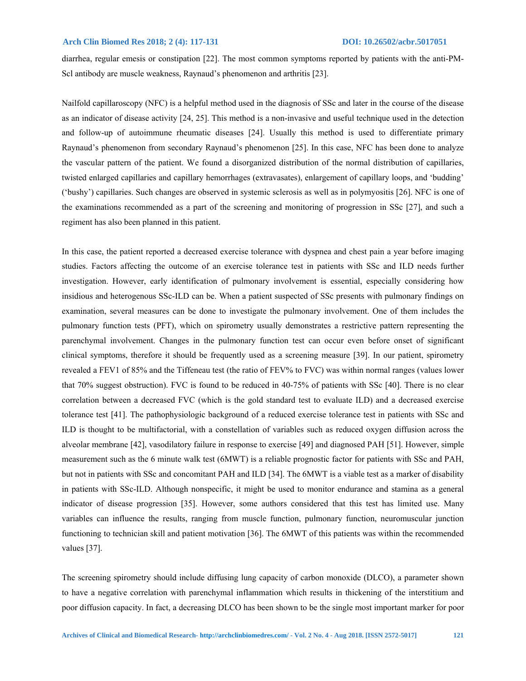diarrhea, regular emesis or constipation [22]. The most common symptoms reported by patients with the anti-PM-Scl antibody are muscle weakness, Raynaud's phenomenon and arthritis [23].

Nailfold capillaroscopy (NFC) is a helpful method used in the diagnosis of SSc and later in the course of the disease as an indicator of disease activity [24, 25]. This method is a non-invasive and useful technique used in the detection and follow-up of autoimmune rheumatic diseases [24]. Usually this method is used to differentiate primary Raynaud's phenomenon from secondary Raynaud's phenomenon [25]. In this case, NFC has been done to analyze the vascular pattern of the patient. We found a disorganized distribution of the normal distribution of capillaries, twisted enlarged capillaries and capillary hemorrhages (extravasates), enlargement of capillary loops, and 'budding' ('bushy') capillaries. Such changes are observed in systemic sclerosis as well as in polymyositis [26]. NFC is one of the examinations recommended as a part of the screening and monitoring of progression in SSc [27], and such a regiment has also been planned in this patient.

In this case, the patient reported a decreased exercise tolerance with dyspnea and chest pain a year before imaging studies. Factors affecting the outcome of an exercise tolerance test in patients with SSc and ILD needs further investigation. However, early identification of pulmonary involvement is essential, especially considering how insidious and heterogenous SSc-ILD can be. When a patient suspected of SSc presents with pulmonary findings on examination, several measures can be done to investigate the pulmonary involvement. One of them includes the pulmonary function tests (PFT), which on spirometry usually demonstrates a restrictive pattern representing the parenchymal involvement. Changes in the pulmonary function test can occur even before onset of significant clinical symptoms, therefore it should be frequently used as a screening measure [39]. In our patient, spirometry revealed a FEV1 of 85% and the Tiffeneau test (the ratio of FEV% to FVC) was within normal ranges (values lower that 70% suggest obstruction). FVC is found to be reduced in 40-75% of patients with SSc [40]. There is no clear correlation between a decreased FVC (which is the gold standard test to evaluate ILD) and a decreased exercise tolerance test [41]. The pathophysiologic background of a reduced exercise tolerance test in patients with SSc and ILD is thought to be multifactorial, with a constellation of variables such as reduced oxygen diffusion across the alveolar membrane [42], vasodilatory failure in response to exercise [49] and diagnosed PAH [51]. However, simple measurement such as the 6 minute walk test (6MWT) is a reliable prognostic factor for patients with SSc and PAH, but not in patients with SSc and concomitant PAH and ILD [34]. The 6MWT is a viable test as a marker of disability in patients with SSc-ILD. Although nonspecific, it might be used to monitor endurance and stamina as a general indicator of disease progression [35]. However, some authors considered that this test has limited use. Many variables can influence the results, ranging from muscle function, pulmonary function, neuromuscular junction functioning to technician skill and patient motivation [36]. The 6MWT of this patients was within the recommended values [37].

The screening spirometry should include diffusing lung capacity of carbon monoxide (DLCO), a parameter shown to have a negative correlation with parenchymal inflammation which results in thickening of the interstitium and poor diffusion capacity. In fact, a decreasing DLCO has been shown to be the single most important marker for poor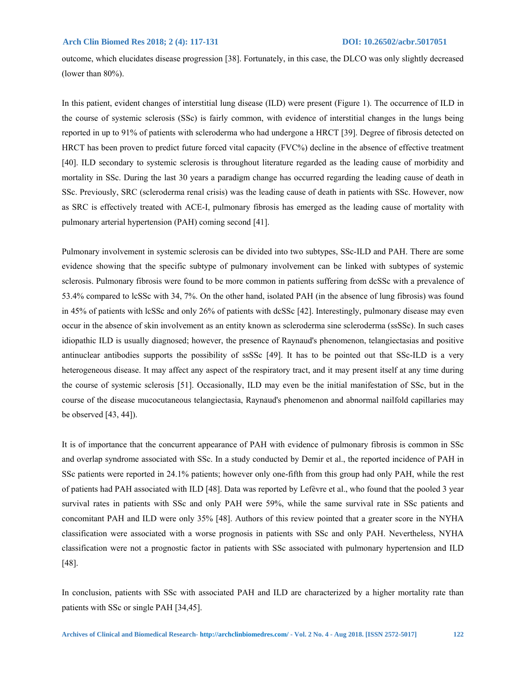outcome, which elucidates disease progression [38]. Fortunately, in this case, the DLCO was only slightly decreased (lower than 80%).

In this patient, evident changes of interstitial lung disease (ILD) were present (Figure 1). The occurrence of ILD in the course of systemic sclerosis (SSc) is fairly common, with evidence of interstitial changes in the lungs being reported in up to 91% of patients with scleroderma who had undergone a HRCT [39]. Degree of fibrosis detected on HRCT has been proven to predict future forced vital capacity (FVC%) decline in the absence of effective treatment [40]. ILD secondary to systemic sclerosis is throughout literature regarded as the leading cause of morbidity and mortality in SSc. During the last 30 years a paradigm change has occurred regarding the leading cause of death in SSc. Previously, SRC (scleroderma renal crisis) was the leading cause of death in patients with SSc. However, now as SRC is effectively treated with ACE-I, pulmonary fibrosis has emerged as the leading cause of mortality with pulmonary arterial hypertension (PAH) coming second [41].

Pulmonary involvement in systemic sclerosis can be divided into two subtypes, SSc-ILD and PAH. There are some evidence showing that the specific subtype of pulmonary involvement can be linked with subtypes of systemic sclerosis. Pulmonary fibrosis were found to be more common in patients suffering from dcSSc with a prevalence of 53.4% compared to lcSSc with 34, 7%. On the other hand, isolated PAH (in the absence of lung fibrosis) was found in 45% of patients with lcSSc and only 26% of patients with dcSSc [42]. Interestingly, pulmonary disease may even occur in the absence of skin involvement as an entity known as scleroderma sine scleroderma (ssSSc). In such cases idiopathic ILD is usually diagnosed; however, the presence of Raynaud's phenomenon, telangiectasias and positive antinuclear antibodies supports the possibility of ssSSc [49]. It has to be pointed out that SSc-ILD is a very heterogeneous disease. It may affect any aspect of the respiratory tract, and it may present itself at any time during the course of systemic sclerosis [51]. Occasionally, ILD may even be the initial manifestation of SSc, but in the course of the disease mucocutaneous telangiectasia, Raynaud's phenomenon and abnormal nailfold capillaries may be observed [43, 44]).

It is of importance that the concurrent appearance of PAH with evidence of pulmonary fibrosis is common in SSc and overlap syndrome associated with SSc. In a study conducted by Demir et al., the reported incidence of PAH in SSc patients were reported in 24.1% patients; however only one-fifth from this group had only PAH, while the rest of patients had PAH associated with ILD [48]. Data was reported by Lefèvre et al., who found that the pooled 3 year survival rates in patients with SSc and only PAH were 59%, while the same survival rate in SSc patients and concomitant PAH and ILD were only 35% [48]. Authors of this review pointed that a greater score in the NYHA classification were associated with a worse prognosis in patients with SSc and only PAH. Nevertheless, NYHA classification were not a prognostic factor in patients with SSc associated with pulmonary hypertension and ILD [48].

In conclusion, patients with SSc with associated PAH and ILD are characterized by a higher mortality rate than patients with SSc or single PAH [34,45].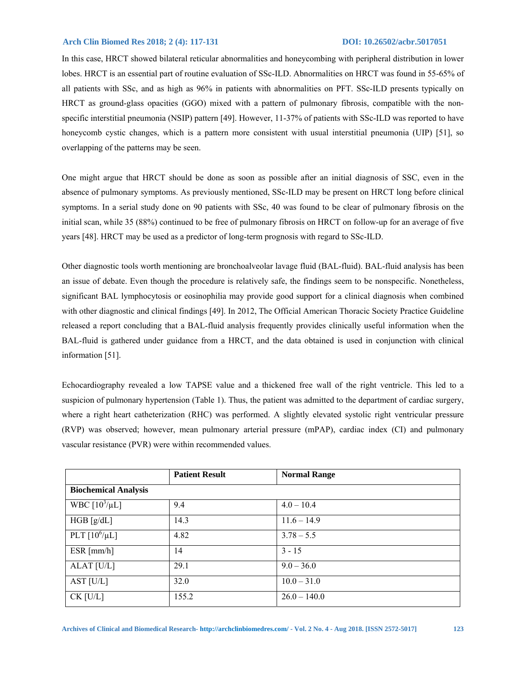In this case, HRCT showed bilateral reticular abnormalities and honeycombing with peripheral distribution in lower lobes. HRCT is an essential part of routine evaluation of SSc-ILD. Abnormalities on HRCT was found in 55-65% of all patients with SSc, and as high as 96% in patients with abnormalities on PFT. SSc-ILD presents typically on HRCT as ground-glass opacities (GGO) mixed with a pattern of pulmonary fibrosis, compatible with the nonspecific interstitial pneumonia (NSIP) pattern [49]. However, 11-37% of patients with SSc-ILD was reported to have honeycomb cystic changes, which is a pattern more consistent with usual interstitial pneumonia (UIP) [51], so overlapping of the patterns may be seen.

One might argue that HRCT should be done as soon as possible after an initial diagnosis of SSC, even in the absence of pulmonary symptoms. As previously mentioned, SSc-ILD may be present on HRCT long before clinical symptoms. In a serial study done on 90 patients with SSc, 40 was found to be clear of pulmonary fibrosis on the initial scan, while 35 (88%) continued to be free of pulmonary fibrosis on HRCT on follow-up for an average of five years [48]. HRCT may be used as a predictor of long-term prognosis with regard to SSc-ILD.

Other diagnostic tools worth mentioning are bronchoalveolar lavage fluid (BAL-fluid). BAL-fluid analysis has been an issue of debate. Even though the procedure is relatively safe, the findings seem to be nonspecific. Nonetheless, significant BAL lymphocytosis or eosinophilia may provide good support for a clinical diagnosis when combined with other diagnostic and clinical findings [49]. In 2012, The Official American Thoracic Society Practice Guideline released a report concluding that a BAL-fluid analysis frequently provides clinically useful information when the BAL-fluid is gathered under guidance from a HRCT, and the data obtained is used in conjunction with clinical information [51].

Echocardiography revealed a low TAPSE value and a thickened free wall of the right ventricle. This led to a suspicion of pulmonary hypertension (Table 1). Thus, the patient was admitted to the department of cardiac surgery, where a right heart catheterization (RHC) was performed. A slightly elevated systolic right ventricular pressure (RVP) was observed; however, mean pulmonary arterial pressure (mPAP), cardiac index (CI) and pulmonary vascular resistance (PVR) were within recommended values.

|                             | <b>Patient Result</b> | <b>Normal Range</b> |  |
|-----------------------------|-----------------------|---------------------|--|
| <b>Biochemical Analysis</b> |                       |                     |  |
| WBC $[10^3/\mu L]$          | 9.4                   | $4.0 - 10.4$        |  |
| HGB [g/dL]                  | 14.3                  | $11.6 - 14.9$       |  |
| PLT $[10^6/\mu L]$          | 4.82                  | $3.78 - 5.5$        |  |
| ESR [mm/h]                  | 14                    | $3 - 15$            |  |
| ALAT [U/L]                  | 29.1                  | $9.0 - 36.0$        |  |
| AST $[U/L]$                 | 32.0                  | $10.0 - 31.0$       |  |
| $CK$ [U/L]                  | 155.2                 | $26.0 - 140.0$      |  |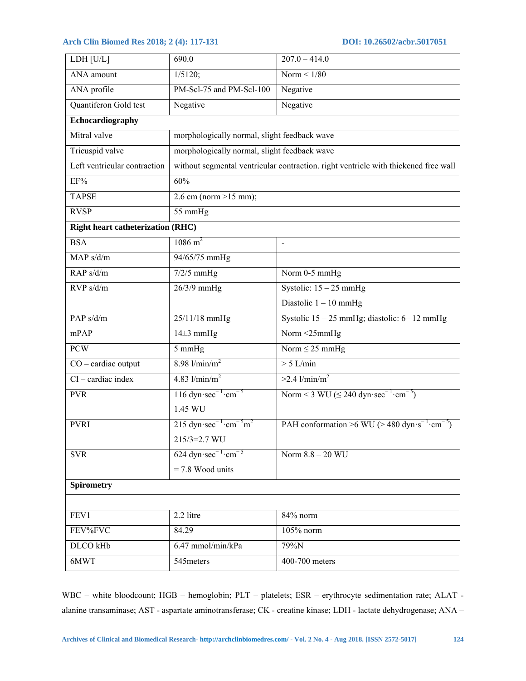| LDH [U/L]                                | 690.0                                                                               | $207.0 - 414.0$                                                   |  |
|------------------------------------------|-------------------------------------------------------------------------------------|-------------------------------------------------------------------|--|
| ANA amount                               | $1/5120$ ;                                                                          | Norm $\leq 1/80$                                                  |  |
| ANA profile                              | PM-Scl-75 and PM-Scl-100                                                            | Negative                                                          |  |
| Quantiferon Gold test                    | Negative                                                                            | Negative                                                          |  |
| Echocardiography                         |                                                                                     |                                                                   |  |
| Mitral valve                             | morphologically normal, slight feedback wave                                        |                                                                   |  |
| Tricuspid valve                          | morphologically normal, slight feedback wave                                        |                                                                   |  |
| Left ventricular contraction             | without segmental ventricular contraction, right ventricle with thickened free wall |                                                                   |  |
| EF%                                      | 60%                                                                                 |                                                                   |  |
| <b>TAPSE</b>                             | 2.6 cm (norm $>15$ mm);                                                             |                                                                   |  |
| <b>RVSP</b>                              | 55 mmHg                                                                             |                                                                   |  |
| <b>Right heart catheterization (RHC)</b> |                                                                                     |                                                                   |  |
| <b>BSA</b>                               | $1086 \text{ m}^2$                                                                  | $\frac{1}{2}$                                                     |  |
| MAP s/d/m                                | 94/65/75 mmHg                                                                       |                                                                   |  |
| RAP s/d/m                                | $7/2/5$ mmHg                                                                        | Norm 0-5 mmHg                                                     |  |
| RVP s/d/m                                | 26/3/9 mmHg                                                                         | Systolic: $15 - 25$ mmHg                                          |  |
|                                          |                                                                                     | Diastolic $1 - 10$ mmHg                                           |  |
| PAP <sub>s/d/m</sub>                     | 25/11/18 mmHg                                                                       | Systolic $15 - 25$ mmHg; diastolic: 6-12 mmHg                     |  |
| mPAP                                     | $14\pm3$ mmHg                                                                       | Norm <25mmHg                                                      |  |
| <b>PCW</b>                               | 5 mmHg                                                                              | Norm $\leq$ 25 mmHg                                               |  |
| $CO -$ cardiac output                    | $8.98$ l/min/m <sup>2</sup>                                                         | $> 5$ L/min                                                       |  |
| $CI - cardiac$ index                     | 4.83 $1/\text{min/m}^2$                                                             | $>2.4$ l/min/m <sup>2</sup>                                       |  |
| <b>PVR</b>                               | $116$ dyn $\sec^{-1}$ cm <sup>-5</sup>                                              | Norm < 3 WU ( $\leq$ 240 dyn sec <sup>-1</sup> cm <sup>-5</sup> ) |  |
|                                          | 1.45 WU                                                                             |                                                                   |  |
| <b>PVRI</b>                              | 215 dyn $\sec^{-1}$ · $\text{cm}^{-5}$ m <sup>2</sup>                               | PAH conformation >6 WU (> 480 dyn $s^{-1}$ cm <sup>-5</sup> )     |  |
|                                          | 215/3=2.7 WU                                                                        |                                                                   |  |
| <b>SVR</b>                               | $624$ dyn $\sec^{-1}$ cm <sup>-5</sup>                                              | Norm $8.8 - 20$ WU                                                |  |
|                                          | $= 7.8$ Wood units                                                                  |                                                                   |  |
| <b>Spirometry</b>                        |                                                                                     |                                                                   |  |
|                                          |                                                                                     |                                                                   |  |
| FEV1                                     | 2.2 litre                                                                           | 84% norm                                                          |  |
| FEV%FVC                                  | 84.29                                                                               | 105% norm                                                         |  |
| DLCO kHb                                 | 6.47 mmol/min/kPa                                                                   | 79%N                                                              |  |
| 6MWT                                     | 545meters                                                                           | 400-700 meters                                                    |  |

WBC – white bloodcount; HGB – hemoglobin; PLT – platelets; ESR – erythrocyte sedimentation rate; ALAT alanine transaminase; AST - aspartate aminotransferase; CK - creatine kinase; LDH - lactate dehydrogenase; ANA –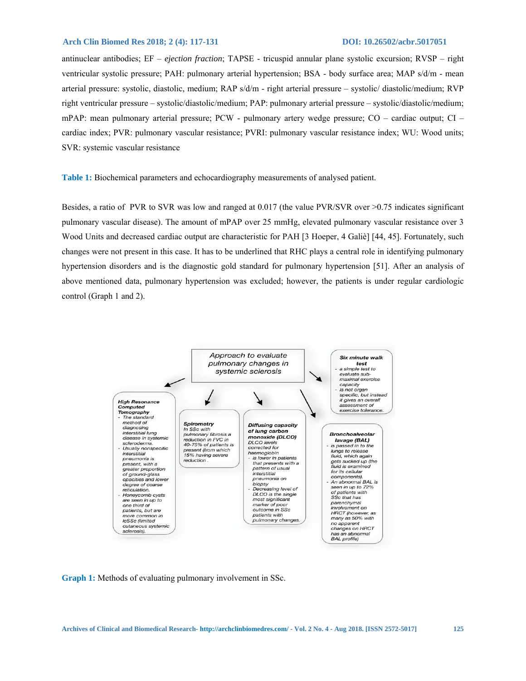antinuclear antibodies; EF – *ejection fraction*; TAPSE - tricuspid annular plane systolic excursion; RVSP – right ventricular systolic pressure; PAH: pulmonary arterial hypertension; BSA - body surface area; MAP s/d/m - mean arterial pressure: systolic, diastolic, medium; RAP s/d/m - right arterial pressure – systolic/ diastolic/medium; RVP right ventricular pressure – systolic/diastolic/medium; PAP: pulmonary arterial pressure – systolic/diastolic/medium; mPAP: mean pulmonary arterial pressure; PCW - pulmonary artery wedge pressure; CO – cardiac output; CI – cardiac index; PVR: pulmonary vascular resistance; PVRI: pulmonary vascular resistance index; WU: Wood units; SVR: systemic vascular resistance

**Table 1:** Biochemical parameters and echocardiography measurements of analysed patient.

Besides, a ratio of PVR to SVR was low and ranged at 0.017 (the value PVR/SVR over >0.75 indicates significant pulmonary vascular disease). The amount of mPAP over 25 mmHg, elevated pulmonary vascular resistance over 3 Wood Units and decreased cardiac output are characteristic for PAH [3 Hoeper, 4 Galiè] [44, 45]. Fortunately, such changes were not present in this case. It has to be underlined that RHC plays a central role in identifying pulmonary hypertension disorders and is the diagnostic gold standard for pulmonary hypertension [51]. After an analysis of above mentioned data, pulmonary hypertension was excluded; however, the patients is under regular cardiologic control (Graph 1 and 2).



**Graph 1:** Methods of evaluating pulmonary involvement in SSc.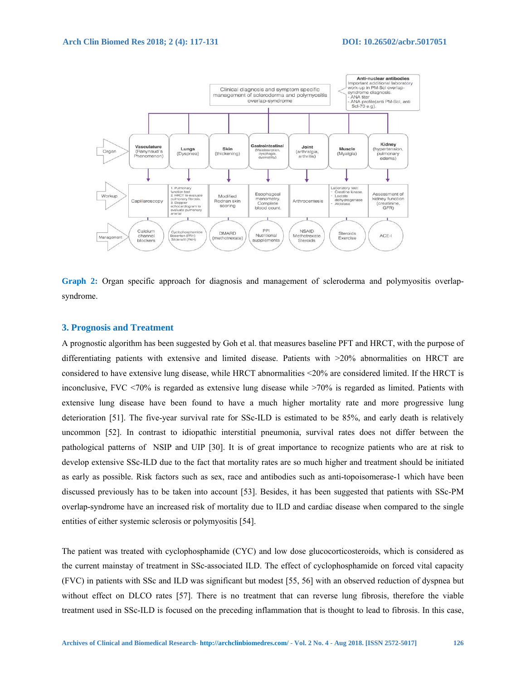

**Graph 2:** Organ specific approach for diagnosis and management of scleroderma and polymyositis overlapsyndrome.

# **3. Prognosis and Treatment**

A prognostic algorithm has been suggested by Goh et al. that measures baseline PFT and HRCT, with the purpose of differentiating patients with extensive and limited disease. Patients with >20% abnormalities on HRCT are considered to have extensive lung disease, while HRCT abnormalities <20% are considered limited. If the HRCT is inconclusive, FVC <70% is regarded as extensive lung disease while >70% is regarded as limited. Patients with extensive lung disease have been found to have a much higher mortality rate and more progressive lung deterioration [51]. The five-year survival rate for SSc-ILD is estimated to be 85%, and early death is relatively uncommon [52]. In contrast to idiopathic interstitial pneumonia, survival rates does not differ between the pathological patterns of NSIP and UIP [30]. It is of great importance to recognize patients who are at risk to develop extensive SSc-ILD due to the fact that mortality rates are so much higher and treatment should be initiated as early as possible. Risk factors such as sex, race and antibodies such as anti-topoisomerase-1 which have been discussed previously has to be taken into account [53]. Besides, it has been suggested that patients with SSc-PM overlap-syndrome have an increased risk of mortality due to ILD and cardiac disease when compared to the single entities of either systemic sclerosis or polymyositis [54].

The patient was treated with cyclophosphamide (CYC) and low dose glucocorticosteroids, which is considered as the current mainstay of treatment in SSc-associated ILD. The effect of cyclophosphamide on forced vital capacity (FVC) in patients with SSc and ILD was significant but modest [55, 56] with an observed reduction of dyspnea but without effect on DLCO rates [57]. There is no treatment that can reverse lung fibrosis, therefore the viable treatment used in SSc-ILD is focused on the preceding inflammation that is thought to lead to fibrosis. In this case,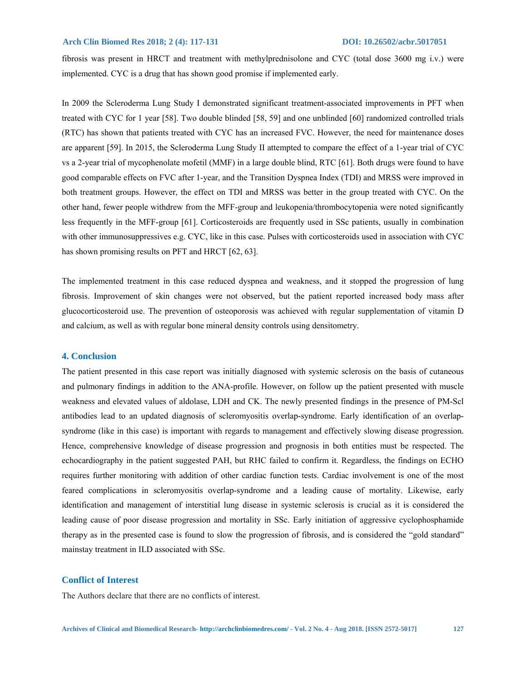fibrosis was present in HRCT and treatment with methylprednisolone and CYC (total dose 3600 mg i.v.) were implemented. CYC is a drug that has shown good promise if implemented early.

In 2009 the Scleroderma Lung Study I demonstrated significant treatment-associated improvements in PFT when treated with CYC for 1 year [58]. Two double blinded [58, 59] and one unblinded [60] randomized controlled trials (RTC) has shown that patients treated with CYC has an increased FVC. However, the need for maintenance doses are apparent [59]. In 2015, the Scleroderma Lung Study II attempted to compare the effect of a 1-year trial of CYC vs a 2-year trial of mycophenolate mofetil (MMF) in a large double blind, RTC [61]. Both drugs were found to have good comparable effects on FVC after 1-year, and the Transition Dyspnea Index (TDI) and MRSS were improved in both treatment groups. However, the effect on TDI and MRSS was better in the group treated with CYC. On the other hand, fewer people withdrew from the MFF-group and leukopenia/thrombocytopenia were noted significantly less frequently in the MFF-group [61]. Corticosteroids are frequently used in SSc patients, usually in combination with other immunosuppressives e.g. CYC, like in this case. Pulses with corticosteroids used in association with CYC has shown promising results on PFT and HRCT [62, 63].

The implemented treatment in this case reduced dyspnea and weakness, and it stopped the progression of lung fibrosis. Improvement of skin changes were not observed, but the patient reported increased body mass after glucocorticosteroid use. The prevention of osteoporosis was achieved with regular supplementation of vitamin D and calcium, as well as with regular bone mineral density controls using densitometry.

# **4. Conclusion**

The patient presented in this case report was initially diagnosed with systemic sclerosis on the basis of cutaneous and pulmonary findings in addition to the ANA-profile. However, on follow up the patient presented with muscle weakness and elevated values of aldolase, LDH and CK. The newly presented findings in the presence of PM-Scl antibodies lead to an updated diagnosis of scleromyositis overlap-syndrome. Early identification of an overlapsyndrome (like in this case) is important with regards to management and effectively slowing disease progression. Hence, comprehensive knowledge of disease progression and prognosis in both entities must be respected. The echocardiography in the patient suggested PAH, but RHC failed to confirm it. Regardless, the findings on ECHO requires further monitoring with addition of other cardiac function tests. Cardiac involvement is one of the most feared complications in scleromyositis overlap-syndrome and a leading cause of mortality. Likewise, early identification and management of interstitial lung disease in systemic sclerosis is crucial as it is considered the leading cause of poor disease progression and mortality in SSc. Early initiation of aggressive cyclophosphamide therapy as in the presented case is found to slow the progression of fibrosis, and is considered the "gold standard" mainstay treatment in ILD associated with SSc.

## **Conflict of Interest**

The Authors declare that there are no conflicts of interest.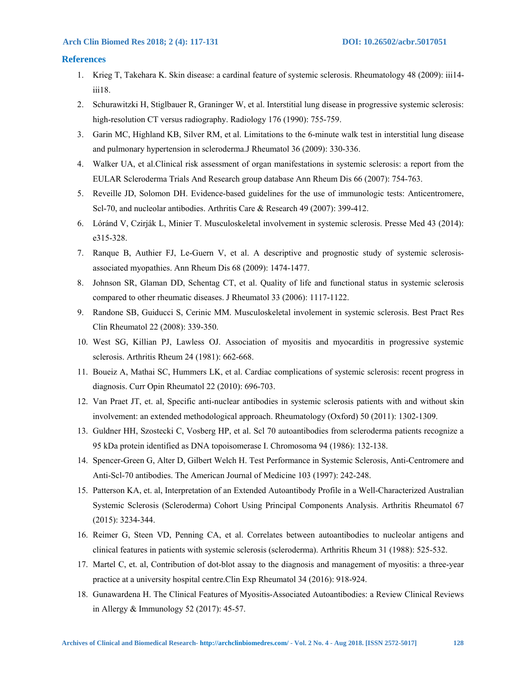# **References**

- 1. Krieg T, Takehara K. Skin disease: a cardinal feature of systemic sclerosis. Rheumatology 48 (2009): iii14 iii18.
- 2. Schurawitzki H, Stiglbauer R, Graninger W, et al. Interstitial lung disease in progressive systemic sclerosis: high-resolution CT versus radiography. Radiology 176 (1990): 755-759.
- 3. Garin MC, Highland KB, Silver RM, et al. Limitations to the 6-minute walk test in interstitial lung disease and pulmonary hypertension in scleroderma.J Rheumatol 36 (2009): 330-336.
- 4. Walker UA, et al.Clinical risk assessment of organ manifestations in systemic sclerosis: a report from the EULAR Scleroderma Trials And Research group database Ann Rheum Dis 66 (2007): 754-763.
- 5. Reveille JD, Solomon DH. Evidence-based guidelines for the use of immunologic tests: Anticentromere, Scl-70, and nucleolar antibodies. Arthritis Care & Research 49 (2007): 399-412.
- 6. Lóránd V, Czirják L, Minier T. Musculoskeletal involvement in systemic sclerosis. Presse Med 43 (2014): e315-328.
- 7. Ranque B, Authier FJ, Le-Guern V, et al. A descriptive and prognostic study of systemic sclerosisassociated myopathies. Ann Rheum Dis 68 (2009): 1474-1477.
- 8. Johnson SR, Glaman DD, Schentag CT, et al. Quality of life and functional status in systemic sclerosis compared to other rheumatic diseases. J Rheumatol 33 (2006): 1117-1122.
- 9. Randone SB, Guiducci S, Cerinic MM. Musculoskeletal involement in systemic sclerosis. Best Pract Res Clin Rheumatol 22 (2008): 339-350.
- 10. West SG, Killian PJ, Lawless OJ. Association of myositis and myocarditis in progressive systemic sclerosis. Arthritis Rheum 24 (1981): 662-668.
- 11. Boueiz A, Mathai SC, Hummers LK, et al. Cardiac complications of systemic sclerosis: recent progress in diagnosis. Curr Opin Rheumatol 22 (2010): 696-703.
- 12. Van Praet JT, et. al, Specific anti-nuclear antibodies in systemic sclerosis patients with and without skin involvement: an extended methodological approach. Rheumatology (Oxford) 50 (2011): 1302-1309.
- 13. Guldner HH, Szostecki C, Vosberg HP, et al. Scl 70 autoantibodies from scleroderma patients recognize a 95 kDa protein identified as DNA topoisomerase I. Chromosoma 94 (1986): 132-138.
- 14. Spencer-Green G, Alter D, Gilbert Welch H. Test Performance in Systemic Sclerosis, Anti-Centromere and Anti-Scl-70 antibodies. The American Journal of Medicine 103 (1997): 242-248.
- 15. Patterson KA, et. al, Interpretation of an Extended Autoantibody Profile in a Well-Characterized Australian Systemic Sclerosis (Scleroderma) Cohort Using Principal Components Analysis. Arthritis Rheumatol 67 (2015): 3234-344.
- 16. Reimer G, Steen VD, Penning CA, et al. Correlates between autoantibodies to nucleolar antigens and clinical features in patients with systemic sclerosis (scleroderma). Arthritis Rheum 31 (1988): 525-532.
- 17. Martel C, et. al, Contribution of dot-blot assay to the diagnosis and management of myositis: a three-year practice at a university hospital centre.Clin Exp Rheumatol 34 (2016): 918-924.
- 18. Gunawardena H. The Clinical Features of Myositis-Associated Autoantibodies: a Review Clinical Reviews in Allergy & Immunology 52 (2017): 45-57.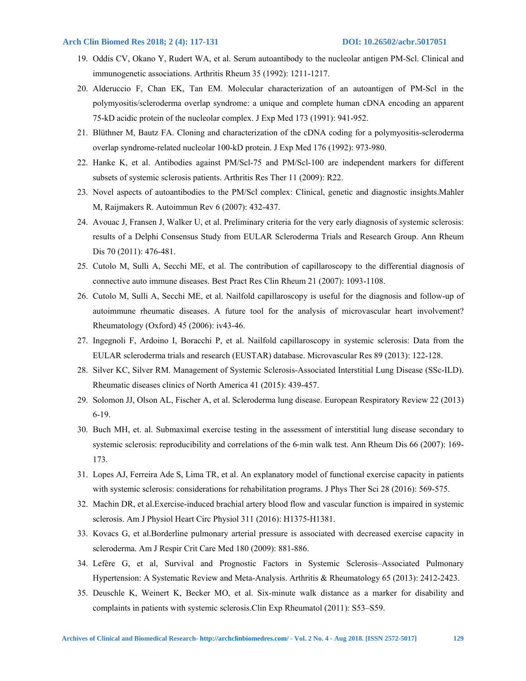- 19. Oddis CV, Okano Y, Rudert WA, et al. Serum autoantibody to the nucleolar antigen PM-Scl. Clinical and immunogenetic associations. Arthritis Rheum 35 (1992): 1211-1217.
- 20. Alderuccio F, Chan EK, Tan EM. Molecular characterization of an autoantigen of PM-Scl in the polymyositis/scleroderma overlap syndrome: a unique and complete human cDNA encoding an apparent 75-kD acidic protein of the nucleolar complex. J Exp Med 173 (1991): 941-952.
- 21. Blüthner M, Bautz FA. Cloning and characterization of the cDNA coding for a polymyositis-scleroderma overlap syndrome-related nucleolar 100-kD protein. J Exp Med 176 (1992): 973-980.
- 22. Hanke K, et al. Antibodies against PM/Scl-75 and PM/Scl-100 are independent markers for different subsets of systemic sclerosis patients. Arthritis Res Ther 11 (2009): R22.
- 23. Novel aspects of autoantibodies to the PM/Scl complex: Clinical, genetic and diagnostic insights.Mahler M, Raijmakers R. Autoimmun Rev 6 (2007): 432-437.
- 24. Avouac J, Fransen J, Walker U, et al. Preliminary criteria for the very early diagnosis of systemic sclerosis: results of a Delphi Consensus Study from EULAR Scleroderma Trials and Research Group. Ann Rheum Dis 70 (2011): 476-481.
- 25. Cutolo M, Sulli A, Secchi ME, et al. The contribution of capillaroscopy to the differential diagnosis of connective auto immune diseases. Best Pract Res Clin Rheum 21 (2007): 1093-1108.
- 26. Cutolo M, Sulli A, Secchi ME, et al. Nailfold capillaroscopy is useful for the diagnosis and follow-up of autoimmune rheumatic diseases. A future tool for the analysis of microvascular heart involvement? Rheumatology (Oxford) 45 (2006): iv43-46.
- 27. Ingegnoli F, Ardoino I, Boracchi P, et al. Nailfold capillaroscopy in systemic sclerosis: Data from the EULAR scleroderma trials and research (EUSTAR) database. Microvascular Res 89 (2013): 122-128.
- 28. Silver KC, Silver RM. Management of Systemic Sclerosis-Associated Interstitial Lung Disease (SSc-ILD). Rheumatic diseases clinics of North America 41 (2015): 439-457.
- 29. Solomon JJ, Olson AL, Fischer A, et al. Scleroderma lung disease. European Respiratory Review 22 (2013) 6-19.
- 30. Buch MH, et. al. Submaximal exercise testing in the assessment of interstitial lung disease secondary to systemic sclerosis: reproducibility and correlations of the 6-min walk test. Ann Rheum Dis 66 (2007): 169-173.
- 31. Lopes AJ, Ferreira Ade S, Lima TR, et al. An explanatory model of functional exercise capacity in patients with systemic sclerosis: considerations for rehabilitation programs. J Phys Ther Sci 28 (2016): 569-575.
- 32. Machin DR, et al.Exercise-induced brachial artery blood flow and vascular function is impaired in systemic sclerosis. Am J Physiol Heart Circ Physiol 311 (2016): H1375-H1381.
- 33. Kovacs G, et al.Borderline pulmonary arterial pressure is associated with decreased exercise capacity in scleroderma. Am J Respir Crit Care Med 180 (2009): 881-886.
- 34. Lefère G, et al, Survival and Prognostic Factors in Systemic Sclerosis–Associated Pulmonary Hypertension: A Systematic Review and Meta-Analysis. Arthritis & Rheumatology 65 (2013): 2412-2423.
- 35. Deuschle K, Weinert K, Becker MO, et al. Six-minute walk distance as a marker for disability and complaints in patients with systemic sclerosis.Clin Exp Rheumatol (2011): S53–S59.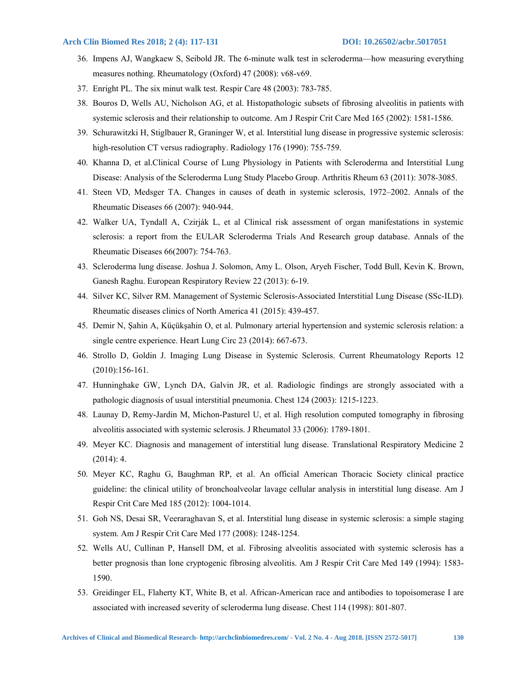- 36. Impens AJ, Wangkaew S, Seibold JR. The 6-minute walk test in scleroderma—how measuring everything measures nothing. Rheumatology (Oxford) 47 (2008): v68-v69.
- 37. Enright PL. The six minut walk test. Respir Care 48 (2003): 783-785.
- 38. Bouros D, Wells AU, Nicholson AG, et al. Histopathologic subsets of fibrosing alveolitis in patients with systemic sclerosis and their relationship to outcome. Am J Respir Crit Care Med 165 (2002): 1581-1586.
- 39. Schurawitzki H, Stiglbauer R, Graninger W, et al. Interstitial lung disease in progressive systemic sclerosis: high-resolution CT versus radiography. Radiology 176 (1990): 755-759.
- 40. Khanna D, et al.Clinical Course of Lung Physiology in Patients with Scleroderma and Interstitial Lung Disease: Analysis of the Scleroderma Lung Study Placebo Group. Arthritis Rheum 63 (2011): 3078-3085.
- 41. Steen VD, Medsger TA. Changes in causes of death in systemic sclerosis, 1972–2002. Annals of the Rheumatic Diseases 66 (2007): 940-944.
- 42. Walker UA, Tyndall A, Czirják L, et al Clinical risk assessment of organ manifestations in systemic sclerosis: a report from the EULAR Scleroderma Trials And Research group database. Annals of the Rheumatic Diseases 66(2007): 754-763.
- 43. Scleroderma lung disease. Joshua J. Solomon, Amy L. Olson, Aryeh Fischer, Todd Bull, Kevin K. Brown, Ganesh Raghu. European Respiratory Review 22 (2013): 6-19.
- 44. Silver KC, Silver RM. Management of Systemic Sclerosis-Associated Interstitial Lung Disease (SSc-ILD). Rheumatic diseases clinics of North America 41 (2015): 439-457.
- 45. Demir N, Şahin A, Küçükşahin O, et al. Pulmonary arterial hypertension and systemic sclerosis relation: a single centre experience. Heart Lung Circ 23 (2014): 667-673.
- 46. Strollo D, Goldin J. Imaging Lung Disease in Systemic Sclerosis. Current Rheumatology Reports 12 (2010):156-161.
- 47. Hunninghake GW, Lynch DA, Galvin JR, et al. Radiologic findings are strongly associated with a pathologic diagnosis of usual interstitial pneumonia. Chest 124 (2003): 1215-1223.
- 48. Launay D, Remy-Jardin M, Michon-Pasturel U, et al. High resolution computed tomography in fibrosing alveolitis associated with systemic sclerosis. J Rheumatol 33 (2006): 1789-1801.
- 49. Meyer KC. Diagnosis and management of interstitial lung disease. Translational Respiratory Medicine 2 (2014): 4.
- 50. Meyer KC, Raghu G, Baughman RP, et al. An official American Thoracic Society clinical practice guideline: the clinical utility of bronchoalveolar lavage cellular analysis in interstitial lung disease. Am J Respir Crit Care Med 185 (2012): 1004-1014.
- 51. Goh NS, Desai SR, Veeraraghavan S, et al. Interstitial lung disease in systemic sclerosis: a simple staging system. Am J Respir Crit Care Med 177 (2008): 1248-1254.
- 52. Wells AU, Cullinan P, Hansell DM, et al. Fibrosing alveolitis associated with systemic sclerosis has a better prognosis than lone cryptogenic fibrosing alveolitis. Am J Respir Crit Care Med 149 (1994): 1583- 1590.
- 53. Greidinger EL, Flaherty KT, White B, et al. African-American race and antibodies to topoisomerase I are associated with increased severity of scleroderma lung disease. Chest 114 (1998): 801-807.